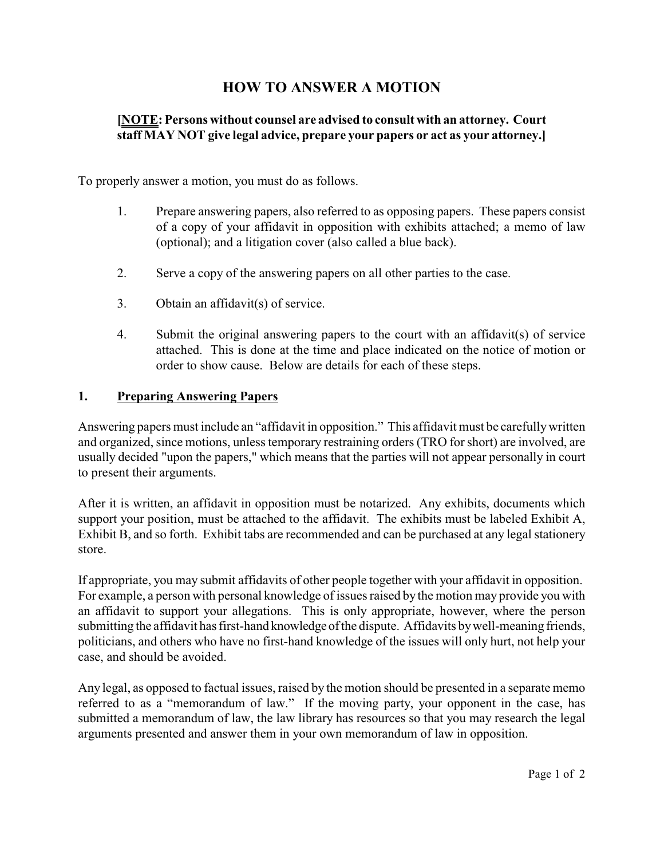# **HOW TO ANSWER A MOTION**

#### **[NOTE: Persons without counsel are advised to consult with an attorney. Court staff MAY NOT give legal advice, prepare your papers or act as your attorney.]**

To properly answer a motion, you must do as follows.

- 1. Prepare answering papers, also referred to as opposing papers. These papers consist of a copy of your affidavit in opposition with exhibits attached; a memo of law (optional); and a litigation cover (also called a blue back).
- 2. Serve a copy of the answering papers on all other parties to the case.
- 3. Obtain an affidavit(s) of service.
- 4. Submit the original answering papers to the court with an affidavit(s) of service attached. This is done at the time and place indicated on the notice of motion or order to show cause. Below are details for each of these steps.

#### **1. Preparing Answering Papers**

Answering papers must include an "affidavit in opposition." This affidavit must be carefullywritten and organized, since motions, unless temporary restraining orders (TRO for short) are involved, are usually decided "upon the papers," which means that the parties will not appear personally in court to present their arguments.

After it is written, an affidavit in opposition must be notarized. Any exhibits, documents which support your position, must be attached to the affidavit. The exhibits must be labeled Exhibit A, Exhibit B, and so forth. Exhibit tabs are recommended and can be purchased at any legal stationery store.

If appropriate, you may submit affidavits of other people together with your affidavit in opposition. For example, a person with personal knowledge of issues raised by the motion may provide you with an affidavit to support your allegations. This is only appropriate, however, where the person submitting the affidavit has first-hand knowledge of the dispute. Affidavits by well-meaning friends, politicians, and others who have no first-hand knowledge of the issues will only hurt, not help your case, and should be avoided.

Any legal, as opposed to factual issues, raised by the motion should be presented in a separate memo referred to as a "memorandum of law." If the moving party, your opponent in the case, has submitted a memorandum of law, the law library has resources so that you may research the legal arguments presented and answer them in your own memorandum of law in opposition.